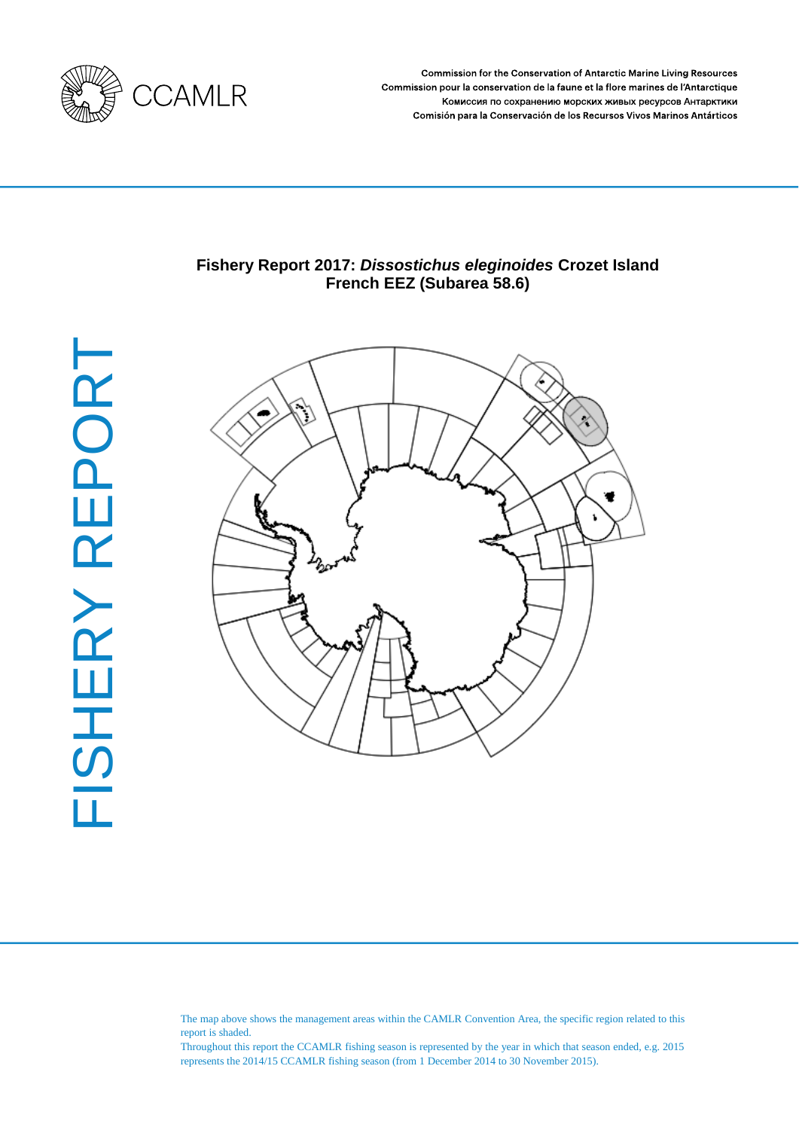

**Commission for the Conservation of Antarctic Marine Living Resources** Commission pour la conservation de la faune et la flore marines de l'Antarctique Комиссия по сохранению морских живых ресурсов Антарктики Comisión para la Conservación de los Recursos Vivos Marinos Antárticos

# **Fishery Report 2017:** *Dissostichus eleginoides* **Crozet Island French EEZ (Subarea 58.6)**



The map above shows the management areas within the CAMLR Convention Area, the specific region related to this report is shaded.

Throughout this report the CCAMLR fishing season is represented by the year in which that season ended, e.g. 2015 represents the 2014/15 CCAMLR fishing season (from 1 December 2014 to 30 November 2015).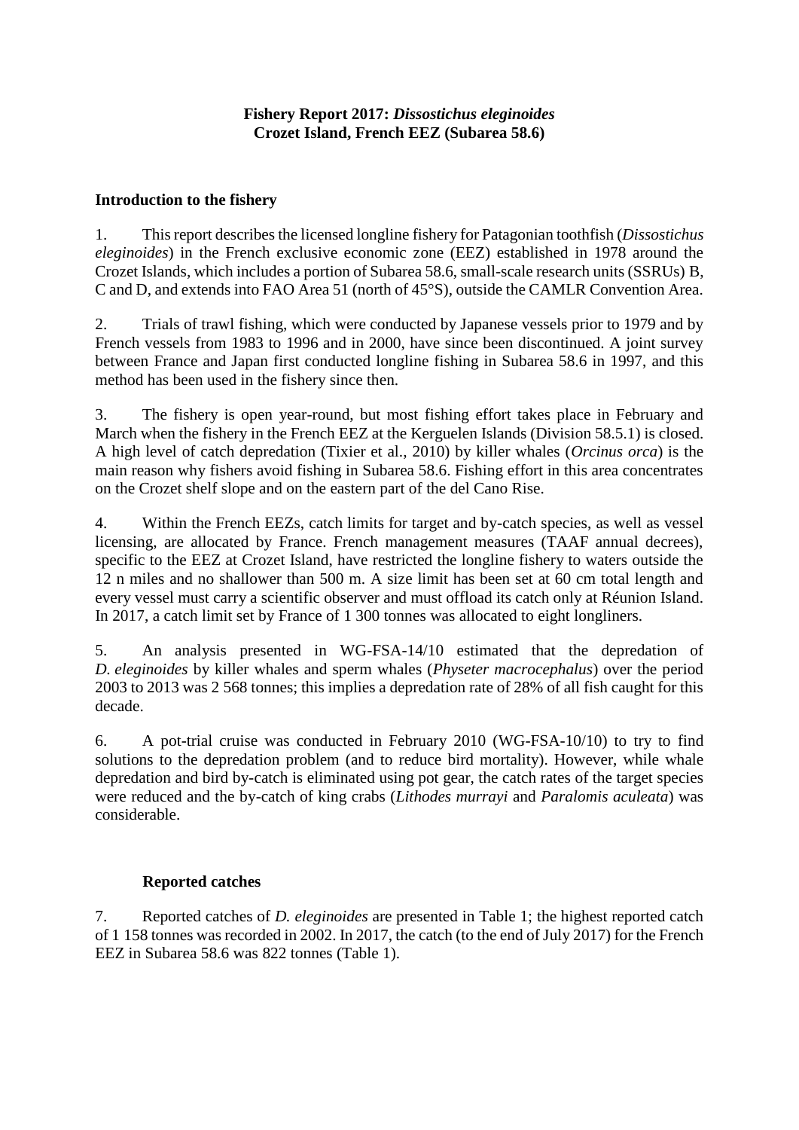# **Introduction to the fishery**

1. This report describes the licensed longline fishery for Patagonian toothfish (*Dissostichus eleginoides*) in the French exclusive economic zone (EEZ) established in 1978 around the Crozet Islands, which includes a portion of Subarea 58.6, small-scale research units (SSRUs) B, C and D, and extends into FAO Area 51 (north of 45°S), outside the CAMLR Convention Area.

2. Trials of trawl fishing, which were conducted by Japanese vessels prior to 1979 and by French vessels from 1983 to 1996 and in 2000, have since been discontinued. A joint survey between France and Japan first conducted longline fishing in Subarea 58.6 in 1997, and this method has been used in the fishery since then.

3. The fishery is open year-round, but most fishing effort takes place in February and March when the fishery in the French EEZ at the Kerguelen Islands (Division 58.5.1) is closed. A high level of catch depredation (Tixier et al., 2010) by killer whales (*Orcinus orca*) is the main reason why fishers avoid fishing in Subarea 58.6. Fishing effort in this area concentrates on the Crozet shelf slope and on the eastern part of the del Cano Rise.

4. Within the French EEZs, catch limits for target and by-catch species, as well as vessel licensing, are allocated by France. French management measures (TAAF annual decrees), specific to the EEZ at Crozet Island, have restricted the longline fishery to waters outside the 12 n miles and no shallower than 500 m. A size limit has been set at 60 cm total length and every vessel must carry a scientific observer and must offload its catch only at Réunion Island. In 2017, a catch limit set by France of 1 300 tonnes was allocated to eight longliners.

5. An analysis presented in WG-FSA-14/10 estimated that the depredation of *D. eleginoides* by killer whales and sperm whales (*Physeter macrocephalus*) over the period 2003 to 2013 was 2 568 tonnes; this implies a depredation rate of 28% of all fish caught for this decade.

6. A pot-trial cruise was conducted in February 2010 [\(WG-FSA-10/10\)](http://www.ccamlr.org/en/wg-fsa-10/10) to try to find solutions to the depredation problem (and to reduce bird mortality). However, while whale depredation and bird by-catch is eliminated using pot gear, the catch rates of the target species were reduced and the by-catch of king crabs (*Lithodes murrayi* and *Paralomis aculeata*) was considerable.

# **Reported catches**

7. Reported catches of *D. eleginoides* are presented in Table 1; the highest reported catch of 1 158 tonnes was recorded in 2002. In 2017, the catch (to the end of July 2017) for the French EEZ in Subarea 58.6 was 822 tonnes (Table 1).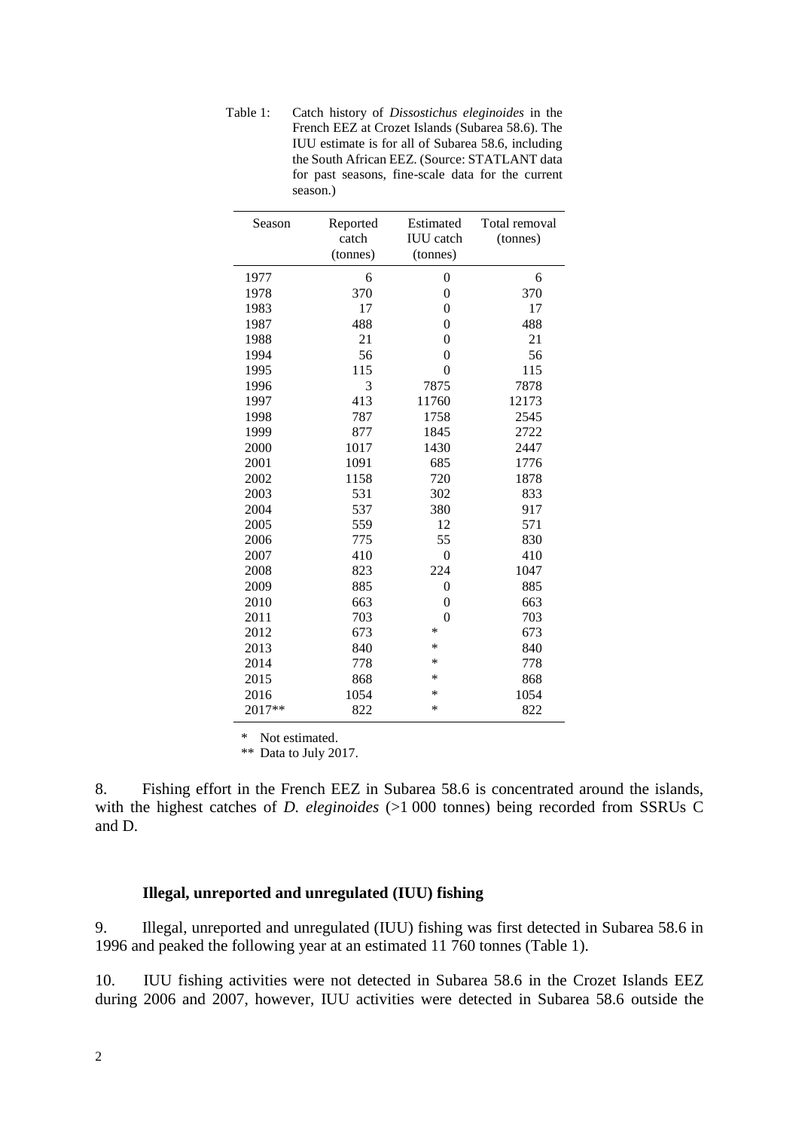Table 1: Catch history of *Dissostichus eleginoides* in the French EEZ at Crozet Islands (Subarea 58.6). The IUU estimate is for all of Subarea 58.6, including the South African EEZ. (Source: STATLANT data for past seasons, fine-scale data for the current season.)

| Season | Reported<br>catch<br>(tonnes) | Estimated<br><b>IUU</b> catch<br>(tonnes) | Total removal<br>(tonnes) |
|--------|-------------------------------|-------------------------------------------|---------------------------|
| 1977   | 6                             | $\boldsymbol{0}$                          | 6                         |
| 1978   | 370                           | $\overline{0}$                            | 370                       |
| 1983   | 17                            | $\theta$                                  | 17                        |
| 1987   | 488                           | $\overline{0}$                            | 488                       |
| 1988   | 21                            | $\overline{0}$                            | 21                        |
| 1994   | 56                            | $\mathbf{0}$                              | 56                        |
| 1995   | 115                           | $\theta$                                  | 115                       |
| 1996   | 3                             | 7875                                      | 7878                      |
| 1997   | 413                           | 11760                                     | 12173                     |
| 1998   | 787                           | 1758                                      | 2545                      |
| 1999   | 877                           | 1845                                      | 2722                      |
| 2000   | 1017                          | 1430                                      | 2447                      |
| 2001   | 1091                          | 685                                       | 1776                      |
| 2002   | 1158                          | 720                                       | 1878                      |
| 2003   | 531                           | 302                                       | 833                       |
| 2004   | 537                           | 380                                       | 917                       |
| 2005   | 559                           | 12                                        | 571                       |
| 2006   | 775                           | 55                                        | 830                       |
| 2007   | 410                           | $\overline{0}$                            | 410                       |
| 2008   | 823                           | 224                                       | 1047                      |
| 2009   | 885                           | $\boldsymbol{0}$                          | 885                       |
| 2010   | 663                           | $\theta$                                  | 663                       |
| 2011   | 703                           | $\overline{0}$                            | 703                       |
| 2012   | 673                           | $\ast$                                    | 673                       |
| 2013   | 840                           | $\ast$                                    | 840                       |
| 2014   | 778                           | $\ast$                                    | 778                       |
| 2015   | 868                           | ∗                                         | 868                       |
| 2016   | 1054                          | *                                         | 1054                      |
| 2017** | 822                           | *                                         | 822                       |

\* Not estimated.

\*\* Data to July 2017.

8. Fishing effort in the French EEZ in Subarea 58.6 is concentrated around the islands, with the highest catches of *D. eleginoides* (>1 000 tonnes) being recorded from SSRUs C and D.

### **Illegal, unreported and unregulated (IUU) fishing**

9. Illegal, unreported and unregulated (IUU) fishing was first detected in Subarea 58.6 in 1996 and peaked the following year at an estimated 11 760 tonnes (Table 1).

10. IUU fishing activities were not detected in Subarea 58.6 in the Crozet Islands EEZ during 2006 and 2007, however, IUU activities were detected in Subarea 58.6 outside the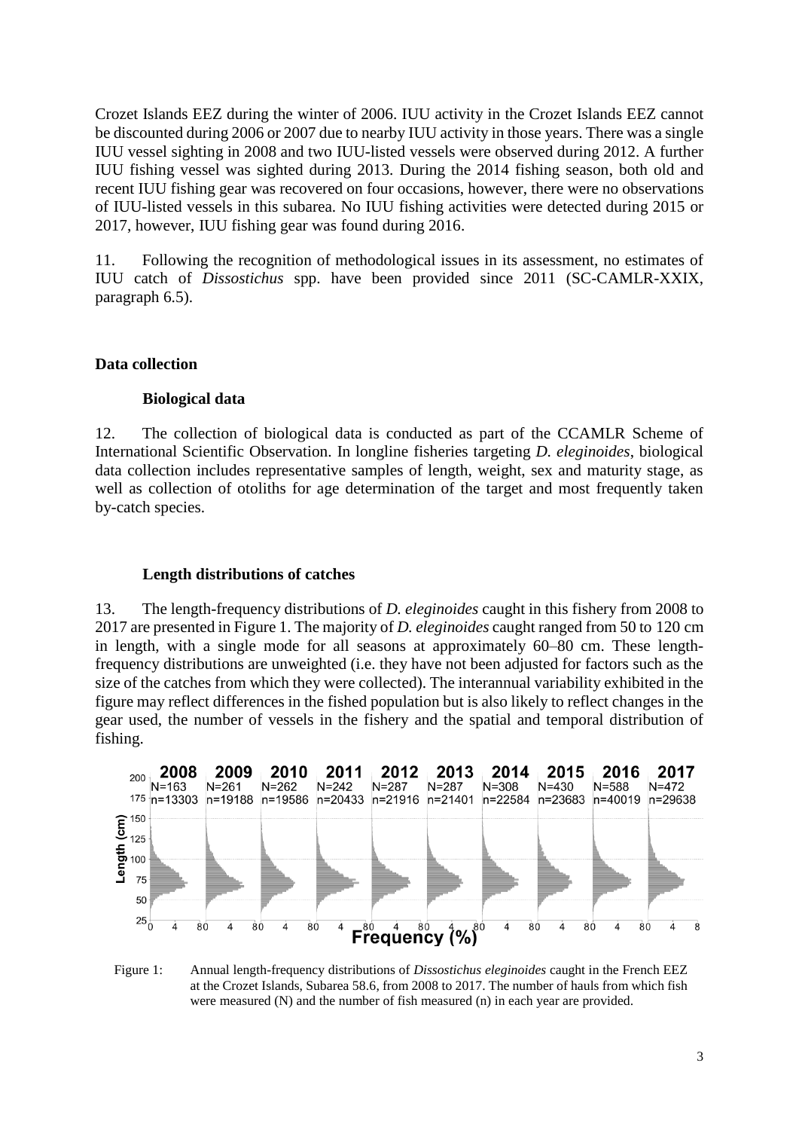Crozet Islands EEZ during the winter of 2006. IUU activity in the Crozet Islands EEZ cannot be discounted during 2006 or 2007 due to nearby IUU activity in those years. There was a single IUU vessel sighting in 2008 and two IUU-listed vessels were observed during 2012. A further IUU fishing vessel was sighted during 2013. During the 2014 fishing season, both old and recent IUU fishing gear was recovered on four occasions, however, there were no observations of IUU-listed vessels in this subarea. No IUU fishing activities were detected during 2015 or 2017, however, IUU fishing gear was found during 2016.

11. Following the recognition of methodological issues in its assessment, no estimates of IUU catch of *Dissostichus* spp. have been provided since 2011 (SC-CAMLR-XXIX, paragraph 6.5).

### **Data collection**

#### **Biological data**

12. The collection of biological data is conducted as part of the CCAMLR Scheme of International Scientific Observation. In longline fisheries targeting *D. eleginoides*, biological data collection includes representative samples of length, weight, sex and maturity stage, as well as collection of otoliths for age determination of the target and most frequently taken by-catch species.

#### **Length distributions of catches**

13. The length-frequency distributions of *D. eleginoides* caught in this fishery from 2008 to 2017 are presented in Figure 1. The majority of *D. eleginoides* caught ranged from 50 to 120 cm in length, with a single mode for all seasons at approximately 60–80 cm. These lengthfrequency distributions are unweighted (i.e. they have not been adjusted for factors such as the size of the catches from which they were collected). The interannual variability exhibited in the figure may reflect differences in the fished population but is also likely to reflect changes in the gear used, the number of vessels in the fishery and the spatial and temporal distribution of fishing.



Figure 1: Annual length-frequency distributions of *Dissostichus eleginoides* caught in the French EEZ at the Crozet Islands, Subarea 58.6, from 2008 to 2017. The number of hauls from which fish were measured (N) and the number of fish measured (n) in each year are provided.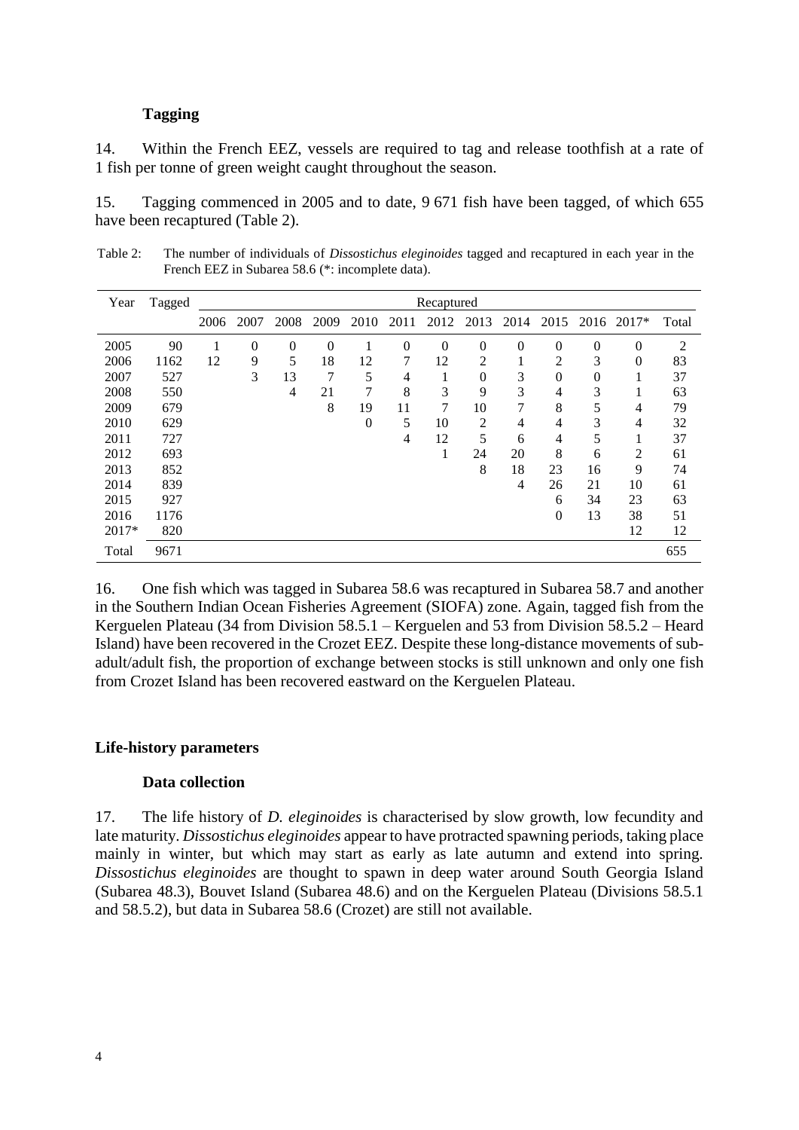### **Tagging**

14. Within the French EEZ, vessels are required to tag and release toothfish at a rate of 1 fish per tonne of green weight caught throughout the season.

15. Tagging commenced in 2005 and to date, 9 671 fish have been tagged, of which 655 have been recaptured (Table 2).

| Table 2: | The number of individuals of <i>Dissostichus eleginoides</i> tagged and recaptured in each year in the |
|----------|--------------------------------------------------------------------------------------------------------|
|          | French EEZ in Subarea 58.6 (*: incomplete data).                                                       |

| Year  | Tagged |      |          |                |          |                |      | Recaptured     |                |          |                |                |              |                |
|-------|--------|------|----------|----------------|----------|----------------|------|----------------|----------------|----------|----------------|----------------|--------------|----------------|
|       |        | 2006 | 2007     | 2008           | 2009     | 2010           | 2011 | 2012           | 2013           | 2014     | 2015           | 2016           | $2017*$      | Total          |
| 2005  | 90     |      | $\theta$ | $\overline{0}$ | $\theta$ |                | 0    | $\overline{0}$ | $\theta$       | $\theta$ | $\theta$       | $\overline{0}$ | $\mathbf{0}$ | $\overline{c}$ |
| 2006  | 1162   | 12   | 9        | 5              | 18       | 12             | 7    | 12             | $\overline{2}$ |          | $\overline{2}$ | 3              | $\Omega$     | 83             |
| 2007  | 527    |      | 3        | 13             | 7        | 5              | 4    |                | $\overline{0}$ | 3        | $\theta$       | $\overline{0}$ | T            | 37             |
| 2008  | 550    |      |          | 4              | 21       | 7              | 8    | 3              | 9              | 3        | 4              | 3              | T.           | 63             |
| 2009  | 679    |      |          |                | 8        | 19             | 11   | 7              | 10             | 7        | 8              | 5              | 4            | 79             |
| 2010  | 629    |      |          |                |          | $\overline{0}$ | 5    | 10             | $\overline{2}$ | 4        | 4              | 3              | 4            | 32             |
| 2011  | 727    |      |          |                |          |                | 4    | 12             | 5              | 6        | 4              | 5              | T            | 37             |
| 2012  | 693    |      |          |                |          |                |      | 1              | 24             | 20       | 8              | 6              | 2            | 61             |
| 2013  | 852    |      |          |                |          |                |      |                | 8              | 18       | 23             | 16             | 9            | 74             |
| 2014  | 839    |      |          |                |          |                |      |                |                | 4        | 26             | 21             | 10           | 61             |
| 2015  | 927    |      |          |                |          |                |      |                |                |          | 6              | 34             | 23           | 63             |
| 2016  | 1176   |      |          |                |          |                |      |                |                |          | $\theta$       | 13             | 38           | 51             |
| 2017* | 820    |      |          |                |          |                |      |                |                |          |                |                | 12           | 12             |
| Total | 9671   |      |          |                |          |                |      |                |                |          |                |                |              | 655            |

16. One fish which was tagged in Subarea 58.6 was recaptured in Subarea 58.7 and another in the Southern Indian Ocean Fisheries Agreement (SIOFA) zone. Again, tagged fish from the Kerguelen Plateau (34 from Division 58.5.1 – Kerguelen and 53 from Division 58.5.2 – Heard Island) have been recovered in the Crozet EEZ. Despite these long-distance movements of subadult/adult fish, the proportion of exchange between stocks is still unknown and only one fish from Crozet Island has been recovered eastward on the Kerguelen Plateau.

#### **Life-history parameters**

### **Data collection**

17. The life history of *D. eleginoides* is characterised by slow growth, low fecundity and late maturity. *Dissostichus eleginoides* appear to have protracted spawning periods, taking place mainly in winter, but which may start as early as late autumn and extend into spring. *Dissostichus eleginoides* are thought to spawn in deep water around South Georgia Island (Subarea 48.3), Bouvet Island (Subarea 48.6) and on the Kerguelen Plateau (Divisions 58.5.1 and 58.5.2), but data in Subarea 58.6 (Crozet) are still not available.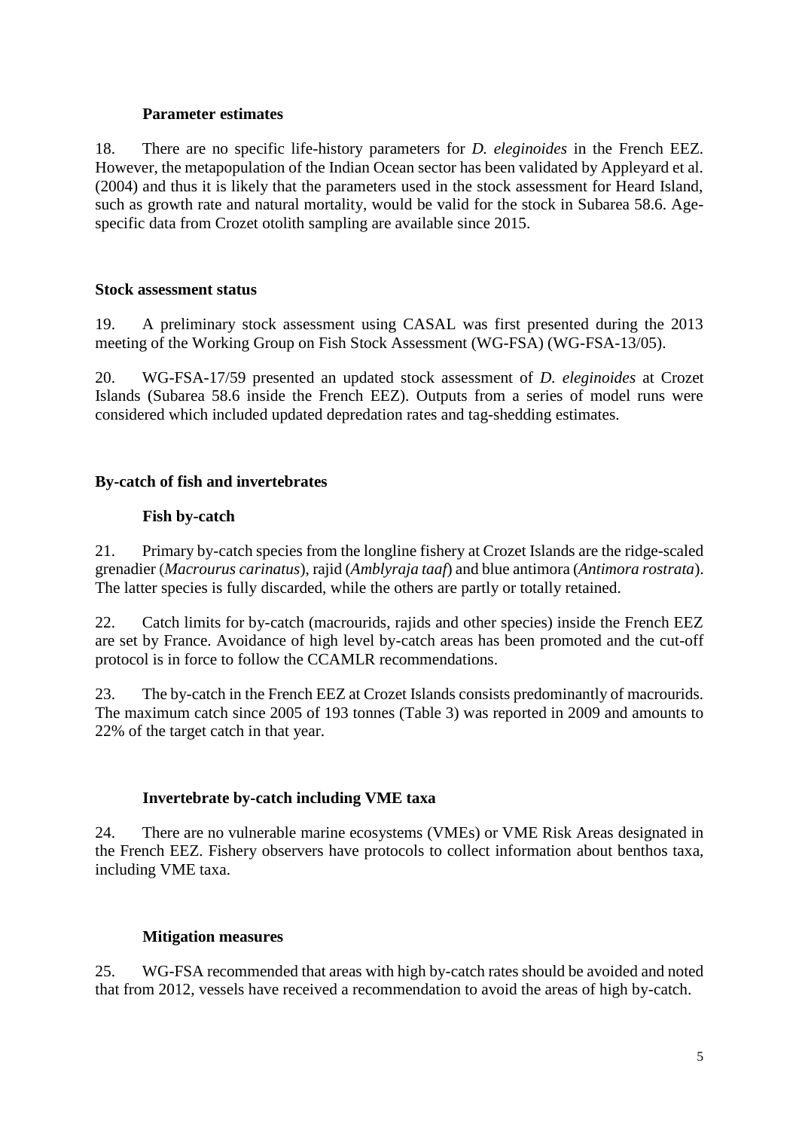### **Parameter estimates**

18. There are no specific life-history parameters for *D. eleginoides* in the French EEZ. However, the metapopulation of the Indian Ocean sector has been validated by Appleyard et al. (2004) and thus it is likely that the parameters used in the stock assessment for Heard Island, such as growth rate and natural mortality, would be valid for the stock in Subarea 58.6. Agespecific data from Crozet otolith sampling are available since 2015.

# **Stock assessment status**

19. A preliminary stock assessment using CASAL was first presented during the 2013 meeting of the Working Group on Fish Stock Assessment (WG-FSA) (WG-FSA-13/05).

20. WG-FSA-17/59 presented an updated stock assessment of *D. eleginoides* at Crozet Islands (Subarea 58.6 inside the French EEZ). Outputs from a series of model runs were considered which included updated depredation rates and tag-shedding estimates.

# **By-catch of fish and invertebrates**

# **Fish by-catch**

21. Primary by-catch species from the longline fishery at Crozet Islands are the ridge-scaled grenadier (*Macrourus carinatus*), rajid (*Amblyraja taaf*) and blue antimora (*Antimora rostrata*). The latter species is fully discarded, while the others are partly or totally retained.

22. Catch limits for by-catch (macrourids, rajids and other species) inside the French EEZ are set by France. Avoidance of high level by-catch areas has been promoted and the cut-off protocol is in force to follow the CCAMLR recommendations.

23. The by-catch in the French EEZ at Crozet Islands consists predominantly of macrourids. The maximum catch since 2005 of 193 tonnes (Table 3) was reported in 2009 and amounts to 22% of the target catch in that year.

# **Invertebrate by-catch including VME taxa**

24. There are no vulnerable marine ecosystems (VMEs) or VME Risk Areas designated in the French EEZ. Fishery observers have protocols to collect information about benthos taxa, including VME taxa.

# **Mitigation measures**

25. WG-FSA recommended that areas with high by-catch rates should be avoided and noted that from 2012, vessels have received a recommendation to avoid the areas of high by-catch.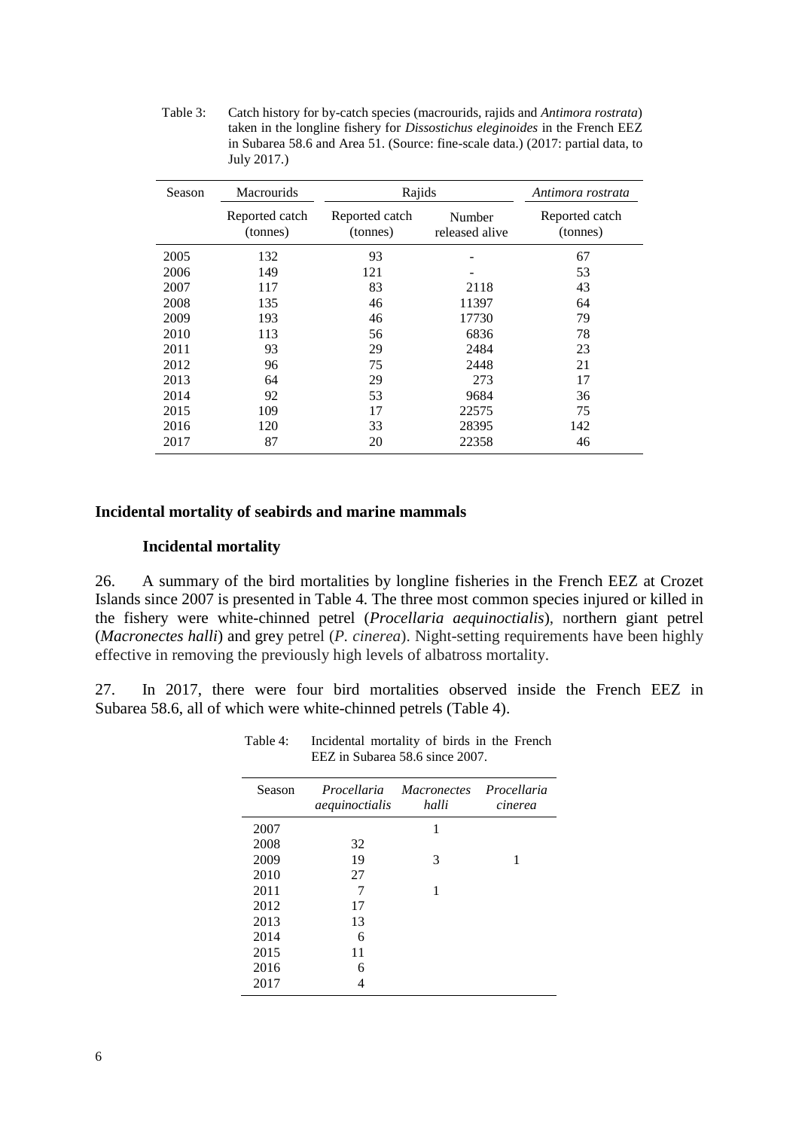Table 3: Catch history for by-catch species (macrourids, rajids and *Antimora rostrata*) taken in the longline fishery for *Dissostichus eleginoides* in the French EEZ in Subarea 58.6 and Area 51. (Source: fine-scale data.) (2017: partial data, to July 2017.)

| Season | <b>Macrourids</b>          | Rajids                     |                          | Antimora rostrata          |
|--------|----------------------------|----------------------------|--------------------------|----------------------------|
|        | Reported catch<br>(tonnes) | Reported catch<br>(tonnes) | Number<br>released alive | Reported catch<br>(tonnes) |
| 2005   | 132                        | 93                         |                          | 67                         |
| 2006   | 149                        | 121                        |                          | 53                         |
| 2007   | 117                        | 83                         | 2118                     | 43                         |
| 2008   | 135                        | 46                         | 11397                    | 64                         |
| 2009   | 193                        | 46                         | 17730                    | 79                         |
| 2010   | 113                        | 56                         | 6836                     | 78                         |
| 2011   | 93                         | 29                         | 2484                     | 23                         |
| 2012   | 96                         | 75                         | 2448                     | 21                         |
| 2013   | 64                         | 29                         | 273                      | 17                         |
| 2014   | 92                         | 53                         | 9684                     | 36                         |
| 2015   | 109                        | 17                         | 22575                    | 75                         |
| 2016   | 120                        | 33                         | 28395                    | 142                        |
| 2017   | 87                         | 20                         | 22358                    | 46                         |

### **Incidental mortality of seabirds and marine mammals**

### **Incidental mortality**

26. A summary of the bird mortalities by longline fisheries in the French EEZ at Crozet Islands since 2007 is presented in Table 4. The three most common species injured or killed in the fishery were white-chinned petrel (*Procellaria aequinoctialis*), northern giant petrel (*Macronectes halli*) and grey petrel (*P. cinerea*). Night-setting requirements have been highly effective in removing the previously high levels of albatross mortality.

27. In 2017, there were four bird mortalities observed inside the French EEZ in Subarea 58.6, all of which were white-chinned petrels (Table 4).

| Season | aequinoctialis | Procellaria Macronectes Procellaria<br>halli | cinerea |
|--------|----------------|----------------------------------------------|---------|
| 2007   |                | 1                                            |         |
| 2008   | 32             |                                              |         |
| 2009   | 19             | 3                                            |         |
| 2010   | 27             |                                              |         |
| 2011   | 7              | 1                                            |         |
| 2012   | 17             |                                              |         |
| 2013   | 13             |                                              |         |
| 2014   | 6              |                                              |         |
| 2015   | 11             |                                              |         |
| 2016   | 6              |                                              |         |
| 2017   |                |                                              |         |

Table 4: Incidental mortality of birds in the French EEZ in Subarea 58.6 since 2007.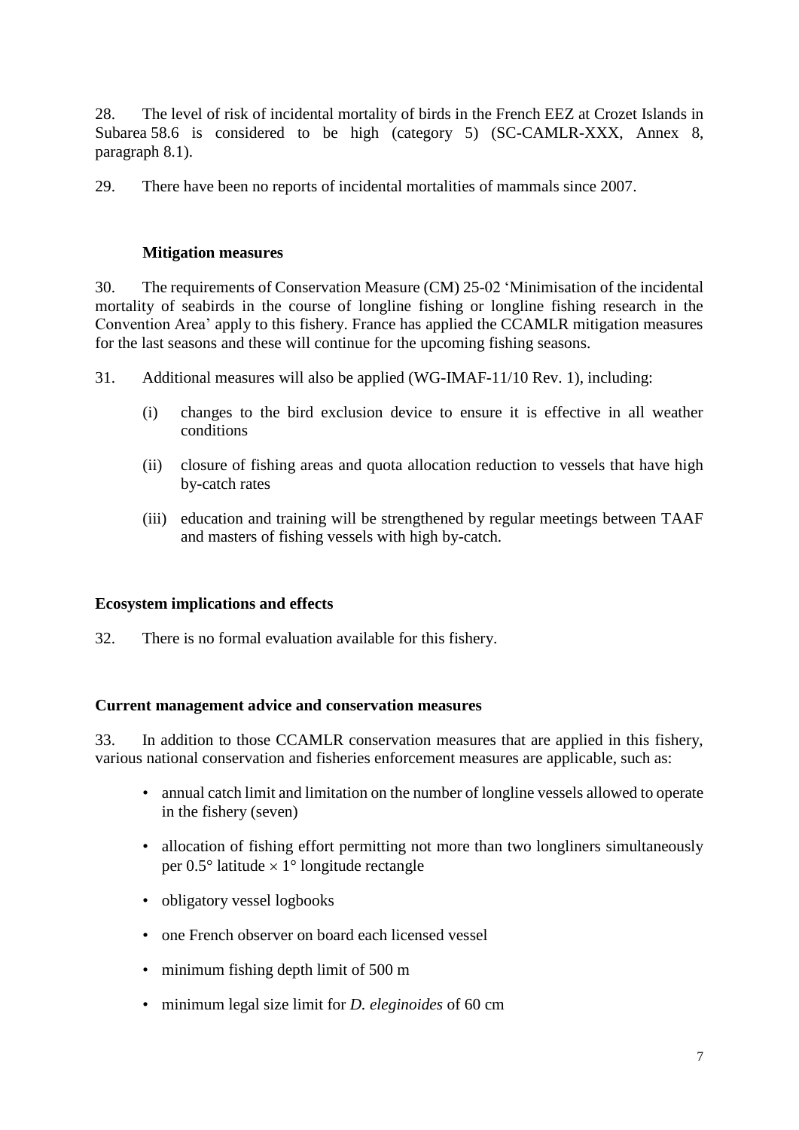28. The level of risk of incidental mortality of birds in the French EEZ at Crozet Islands in Subarea 58.6 is considered to be high (category 5) (SC-CAMLR-XXX, Annex 8, paragraph 8.1).

29. There have been no reports of incidental mortalities of mammals since 2007.

### **Mitigation measures**

30. The requirements of Conservation Measure (CM) 25-02 'Minimisation of the incidental mortality of seabirds in the course of longline fishing or longline fishing research in the Convention Area' apply to this fishery. France has applied the CCAMLR mitigation measures for the last seasons and these will continue for the upcoming fishing seasons.

31. Additional measures will also be applied (WG-IMAF-11/10 Rev. 1), including:

- (i) changes to the bird exclusion device to ensure it is effective in all weather conditions
- (ii) closure of fishing areas and quota allocation reduction to vessels that have high by-catch rates
- (iii) education and training will be strengthened by regular meetings between TAAF and masters of fishing vessels with high by-catch.

### **Ecosystem implications and effects**

32. There is no formal evaluation available for this fishery.

### **Current management advice and conservation measures**

33. In addition to those CCAMLR conservation measures that are applied in this fishery, various national conservation and fisheries enforcement measures are applicable, such as:

- annual catch limit and limitation on the number of longline vessels allowed to operate in the fishery (seven)
- allocation of fishing effort permitting not more than two longliners simultaneously per  $0.5^{\circ}$  latitude  $\times$  1° longitude rectangle
- obligatory vessel logbooks
- one French observer on board each licensed vessel
- minimum fishing depth limit of 500 m
- minimum legal size limit for *D. eleginoides* of 60 cm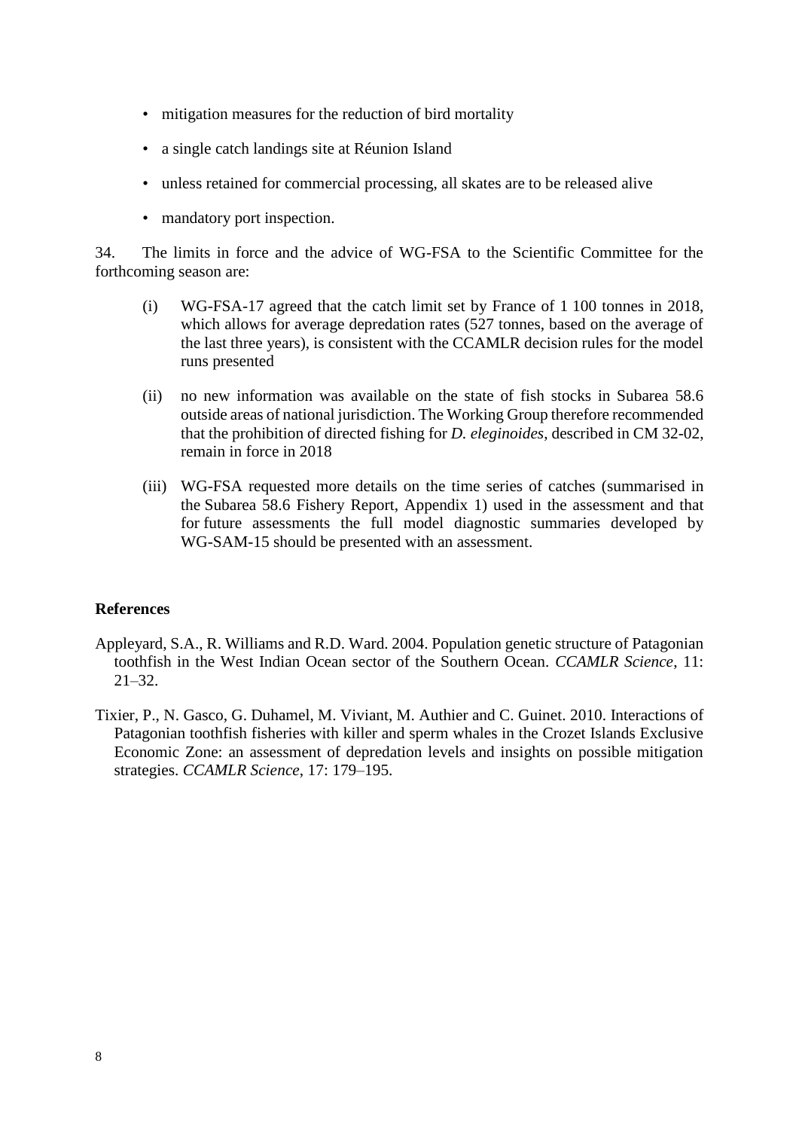- mitigation measures for the reduction of bird mortality
- a single catch landings site at Réunion Island
- unless retained for commercial processing, all skates are to be released alive
- mandatory port inspection.

34. The limits in force and the advice of WG-FSA to the Scientific Committee for the forthcoming season are:

- (i) WG-FSA-17 agreed that the catch limit set by France of 1 100 tonnes in 2018, which allows for average depredation rates (527 tonnes, based on the average of the last three years), is consistent with the CCAMLR decision rules for the model runs presented
- (ii) no new information was available on the state of fish stocks in Subarea 58.6 outside areas of national jurisdiction. The Working Group therefore recommended that the prohibition of directed fishing for *D. eleginoides*, described in CM 32-02, remain in force in 2018
- (iii) WG-FSA requested more details on the time series of catches (summarised in the Subarea 58.6 Fishery Report, Appendix 1) used in the assessment and that for future assessments the full model diagnostic summaries developed by WG-SAM-15 should be presented with an assessment.

#### **References**

- Appleyard, S.A., R. Williams and R.D. Ward. 2004. Population genetic structure of Patagonian toothfish in the West Indian Ocean sector of the Southern Ocean. *CCAMLR Science*, 11: 21–32.
- Tixier, P., N. Gasco, G. Duhamel, M. Viviant, M. Authier and C. Guinet. 2010. Interactions of Patagonian toothfish fisheries with killer and sperm whales in the Crozet Islands Exclusive Economic Zone: an assessment of depredation levels and insights on possible mitigation strategies. *CCAMLR Science*, 17: 179–195.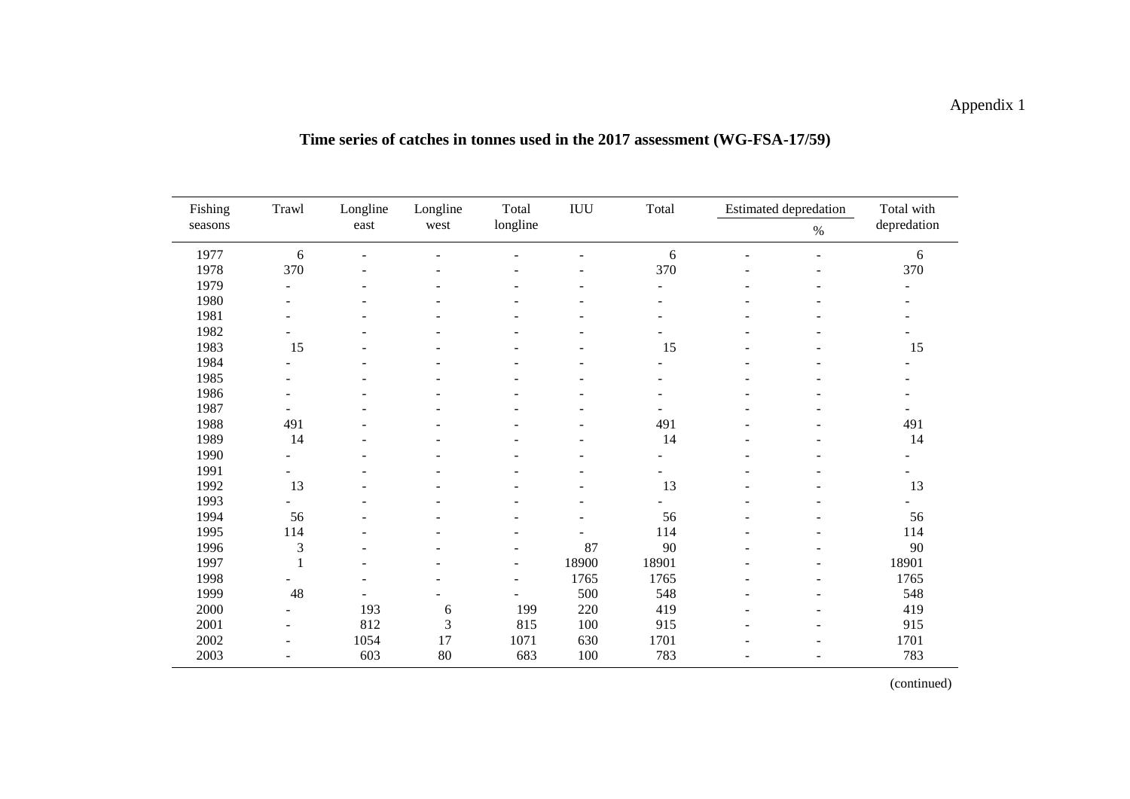# Appendix 1

| Time series of catches in tonnes used in the 2017 assessment (WG-FSA-17/59) |  |
|-----------------------------------------------------------------------------|--|
|-----------------------------------------------------------------------------|--|

| Fishing<br>Trawl<br>seasons |                          | Longline | Longline | Total                    | IUU      | Total                    |                | <b>Estimated depredation</b> | Total with  |  |
|-----------------------------|--------------------------|----------|----------|--------------------------|----------|--------------------------|----------------|------------------------------|-------------|--|
|                             |                          | east     | west     |                          | longline |                          |                | $\%$                         | depredation |  |
| 1977                        | 6                        |          |          |                          |          | 6                        |                |                              | 6           |  |
| 1978                        | 370                      |          |          |                          |          | 370                      |                |                              | 370         |  |
| 1979                        | $\sim$                   |          |          |                          |          | $\overline{\phantom{a}}$ |                |                              |             |  |
| 1980                        | $\blacksquare$           |          |          |                          |          | $\overline{\phantom{a}}$ |                |                              |             |  |
| 1981                        |                          |          |          |                          |          |                          |                |                              |             |  |
| 1982                        |                          |          |          |                          |          |                          |                |                              |             |  |
| 1983                        | 15                       |          |          |                          |          | 15                       | ۰              |                              | 15          |  |
| 1984                        | $\sim$                   |          |          |                          |          | ÷                        |                |                              |             |  |
| 1985                        | $\blacksquare$           |          |          |                          |          | $\blacksquare$           |                |                              |             |  |
| 1986                        |                          |          |          |                          |          |                          |                |                              |             |  |
| 1987                        |                          |          |          |                          |          |                          |                |                              |             |  |
| 1988                        | 491                      |          |          |                          |          | 491                      |                |                              | 491         |  |
| 1989                        | 14                       |          |          |                          |          | 14                       |                |                              | 14          |  |
| 1990                        | $\overline{\phantom{a}}$ |          |          |                          |          | $\overline{\phantom{0}}$ | $\overline{a}$ |                              |             |  |
| 1991                        | $\overline{\phantom{0}}$ |          |          |                          |          |                          |                |                              |             |  |
| 1992                        | 13                       |          |          |                          |          | 13                       |                |                              | 13          |  |
| 1993                        |                          |          |          |                          |          |                          | ۰              |                              |             |  |
| 1994                        | 56                       |          |          |                          |          | 56                       |                |                              | 56          |  |
| 1995                        | 114                      |          |          |                          |          | 114                      |                |                              | 114         |  |
| 1996                        | 3                        |          |          |                          | 87       | 90                       |                |                              | 90          |  |
| 1997                        |                          |          |          | $\overline{\phantom{m}}$ | 18900    | 18901                    |                |                              | 18901       |  |
| 1998                        |                          |          |          | $\overline{\phantom{a}}$ | 1765     | 1765                     | ٠              |                              | 1765        |  |
| 1999                        | 48                       |          |          |                          | 500      | 548                      |                |                              | 548         |  |
| 2000                        | $\blacksquare$           | 193      | 6        | 199                      | 220      | 419                      |                |                              | 419         |  |
| 2001                        | $\blacksquare$           | 812      | 3        | 815                      | 100      | 915                      |                |                              | 915         |  |
| 2002                        | $\blacksquare$           | 1054     | 17       | 1071                     | 630      | 1701                     |                |                              | 1701        |  |
| 2003                        | $\sim$                   | 603      | 80       | 683                      | $100\,$  | 783                      | $\overline{a}$ |                              | 783         |  |

(continued)